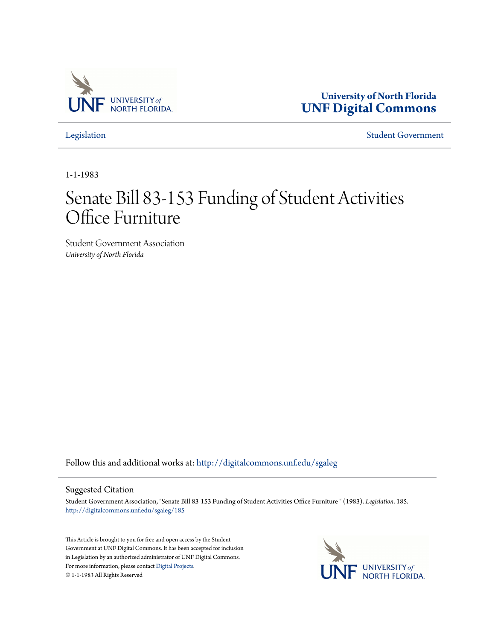

**University of North Florida [UNF Digital Commons](http://digitalcommons.unf.edu?utm_source=digitalcommons.unf.edu%2Fsgaleg%2F185&utm_medium=PDF&utm_campaign=PDFCoverPages)**

[Legislation](http://digitalcommons.unf.edu/sgaleg?utm_source=digitalcommons.unf.edu%2Fsgaleg%2F185&utm_medium=PDF&utm_campaign=PDFCoverPages) [Student Government](http://digitalcommons.unf.edu/sga?utm_source=digitalcommons.unf.edu%2Fsgaleg%2F185&utm_medium=PDF&utm_campaign=PDFCoverPages)

1-1-1983

## Senate Bill 83-153 Funding of Student Activities Office Furniture

Student Government Association *University of North Florida*

Follow this and additional works at: [http://digitalcommons.unf.edu/sgaleg](http://digitalcommons.unf.edu/sgaleg?utm_source=digitalcommons.unf.edu%2Fsgaleg%2F185&utm_medium=PDF&utm_campaign=PDFCoverPages)

## Suggested Citation

Student Government Association, "Senate Bill 83-153 Funding of Student Activities Office Furniture " (1983). *Legislation*. 185. [http://digitalcommons.unf.edu/sgaleg/185](http://digitalcommons.unf.edu/sgaleg/185?utm_source=digitalcommons.unf.edu%2Fsgaleg%2F185&utm_medium=PDF&utm_campaign=PDFCoverPages)

This Article is brought to you for free and open access by the Student Government at UNF Digital Commons. It has been accepted for inclusion in Legislation by an authorized administrator of UNF Digital Commons. For more information, please contact [Digital Projects](mailto:lib-digital@unf.edu). © 1-1-1983 All Rights Reserved